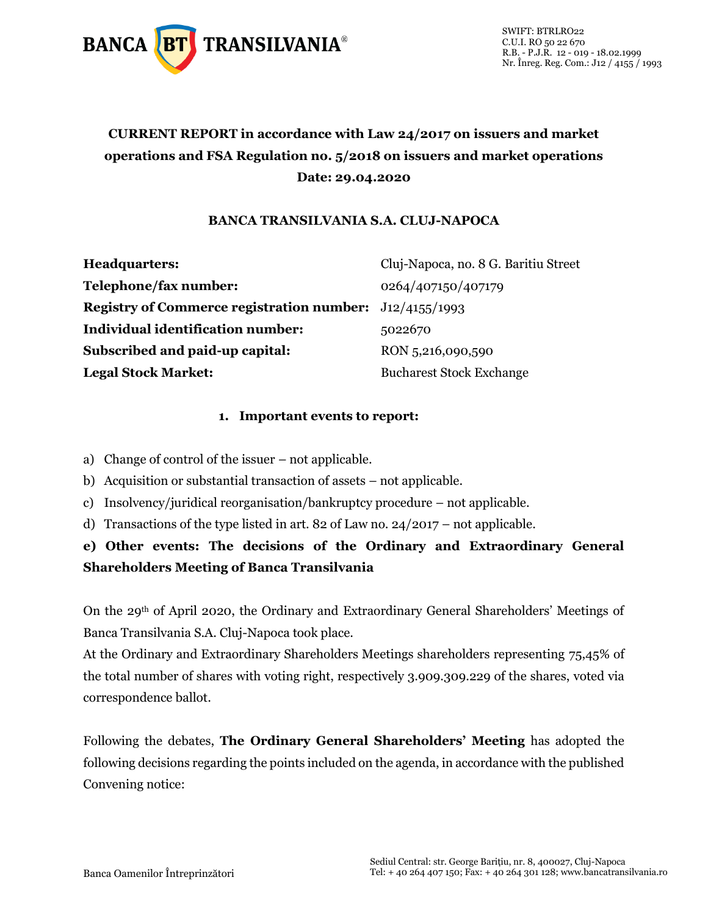

# **CURRENT REPORT in accordance with Law 24/2017 on issuers and market operations and FSA Regulation no. 5/2018 on issuers and market operations Date: 29.04.2020**

### **BANCA TRANSILVANIA S.A. CLUJ-NAPOCA**

| Headquarters:                                                    | Cluj-Napoca, no. 8 G. Baritiu Street |
|------------------------------------------------------------------|--------------------------------------|
| Telephone/fax number:                                            | 0264/407150/407179                   |
| <b>Registry of Commerce registration number:</b> $J12/4155/1993$ |                                      |
| Individual identification number:                                | 5022670                              |
| Subscribed and paid-up capital:                                  | RON 5,216,090,590                    |
| <b>Legal Stock Market:</b>                                       | <b>Bucharest Stock Exchange</b>      |

### **1. Important events to report:**

- a) Change of control of the issuer not applicable.
- b) Acquisition or substantial transaction of assets not applicable.
- c) Insolvency/juridical reorganisation/bankruptcy procedure not applicable.
- d) Transactions of the type listed in art. 82 of Law no.  $24/2017$  not applicable.

## **e) Other events: The decisions of the Ordinary and Extraordinary General Shareholders Meeting of Banca Transilvania**

On the 29th of April 2020, the Ordinary and Extraordinary General Shareholders' Meetings of Banca Transilvania S.A. Cluj-Napoca took place.

At the Ordinary and Extraordinary Shareholders Meetings shareholders representing 75,45% of the total number of shares with voting right, respectively 3.909.309.229 of the shares, voted via correspondence ballot.

Following the debates, **The Ordinary General Shareholders' Meeting** has adopted the following decisions regarding the points included on the agenda, in accordance with the published Convening notice: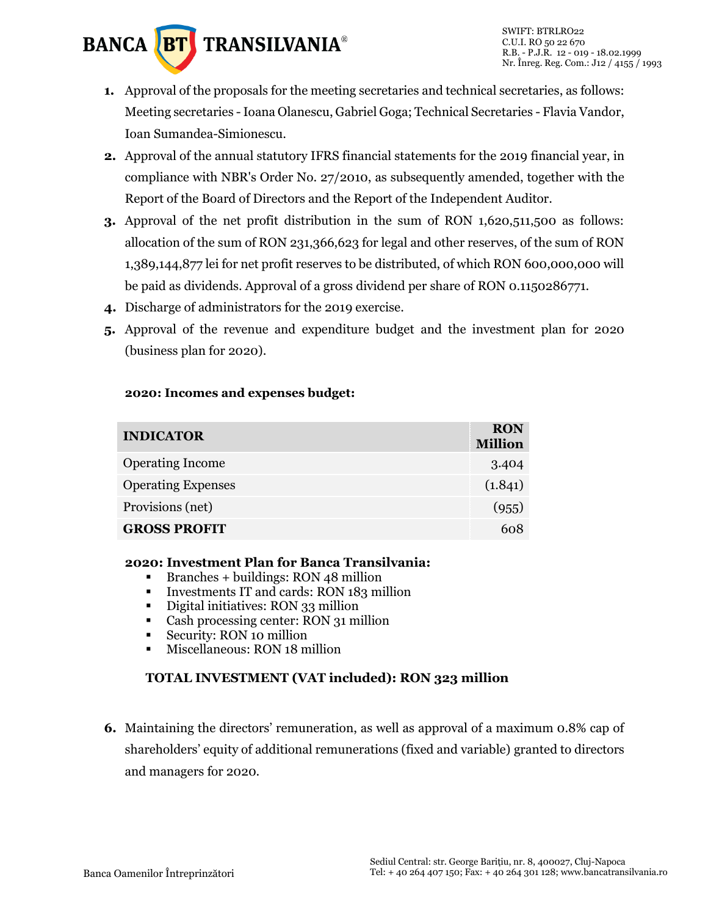

- **1.** Approval of the proposals for the meeting secretaries and technical secretaries, as follows: Meeting secretaries -Ioana Olanescu, Gabriel Goga; Technical Secretaries - Flavia Vandor, Ioan Sumandea-Simionescu.
- **2.** Approval of the annual statutory IFRS financial statements for the 2019 financial year, in compliance with NBR's Order No. 27/2010, as subsequently amended, together with the Report of the Board of Directors and the Report of the Independent Auditor.
- **3.** Approval of the net profit distribution in the sum of RON 1,620,511,500 as follows: allocation of the sum of RON 231,366,623 for legal and other reserves, of the sum of RON 1,389,144,877 lei for net profit reserves to be distributed, of which RON 600,000,000 will be paid as dividends. Approval of a gross dividend per share of RON 0.1150286771.
- **4.** Discharge of administrators for the 2019 exercise.
- **5.** Approval of the revenue and expenditure budget and the investment plan for 2020 (business plan for 2020).

#### **2020: Incomes and expenses budget:**

| <b>INDICATOR</b>          | <b>RON</b><br><b>Million</b> |
|---------------------------|------------------------------|
| <b>Operating Income</b>   | 3.404                        |
| <b>Operating Expenses</b> | (1.841)                      |
| Provisions (net)          | (955)                        |
| <b>GROSS PROFIT</b>       | 608                          |

### **2020: Investment Plan for Banca Transilvania:**

- Branches + buildings: RON 48 million
- **•** Investments IT and cards: RON 183 million
- Digital initiatives: RON 33 million
- Cash processing center: RON 31 million
- Security: RON 10 million
- **EXECUTE:** Miscellaneous: RON 18 million

### **TOTAL INVESTMENT (VAT included): RON 323 million**

**6.** Maintaining the directors' remuneration, as well as approval of a maximum 0.8% cap of shareholders' equity of additional remunerations (fixed and variable) granted to directors and managers for 2020.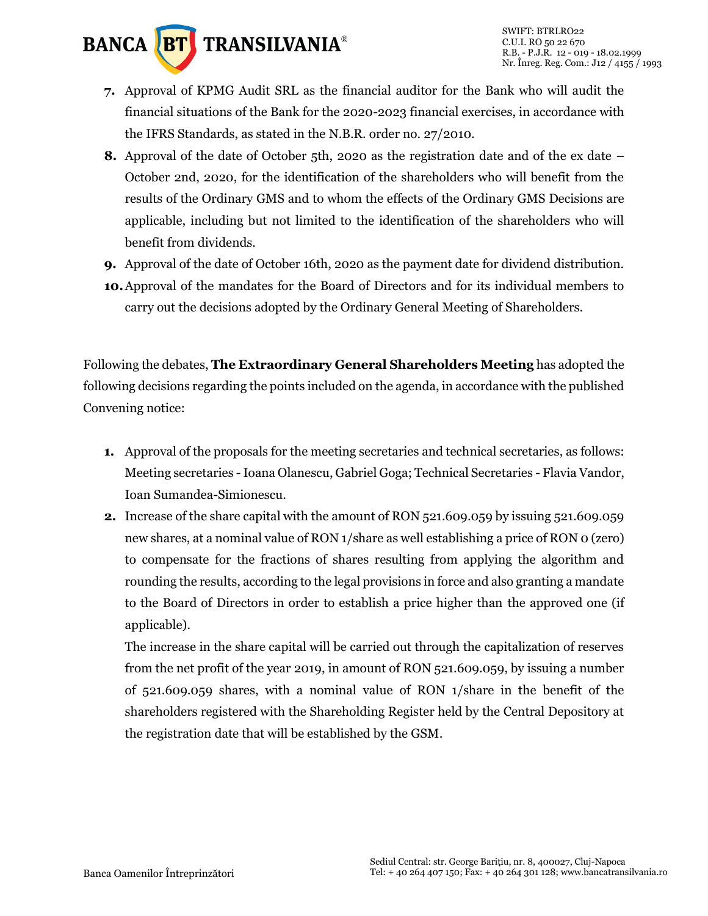

- **7.** Approval of KPMG Audit SRL as the financial auditor for the Bank who will audit the financial situations of the Bank for the 2020-2023 financial exercises, in accordance with the IFRS Standards, as stated in the N.B.R. order no. 27/2010.
- **8.** Approval of the date of October 5th, 2020 as the registration date and of the ex date October 2nd, 2020, for the identification of the shareholders who will benefit from the results of the Ordinary GMS and to whom the effects of the Ordinary GMS Decisions are applicable, including but not limited to the identification of the shareholders who will benefit from dividends.
- **9.** Approval of the date of October 16th, 2020 as the payment date for dividend distribution.
- **10.**Approval of the mandates for the Board of Directors and for its individual members to carry out the decisions adopted by the Ordinary General Meeting of Shareholders.

Following the debates, **The Extraordinary General Shareholders Meeting** has adopted the following decisions regarding the points included on the agenda, in accordance with the published Convening notice:

- **1.** Approval of the proposals for the meeting secretaries and technical secretaries, as follows: Meeting secretaries -Ioana Olanescu, Gabriel Goga; Technical Secretaries - Flavia Vandor, Ioan Sumandea-Simionescu.
- **2.** Increase of the share capital with the amount of RON 521.609.059 by issuing 521.609.059 new shares, at a nominal value of RON 1/share as well establishing a price of RON 0 (zero) to compensate for the fractions of shares resulting from applying the algorithm and rounding the results, according to the legal provisions in force and also granting a mandate to the Board of Directors in order to establish a price higher than the approved one (if applicable).

The increase in the share capital will be carried out through the capitalization of reserves from the net profit of the year 2019, in amount of RON 521.609.059, by issuing a number of 521.609.059 shares, with a nominal value of RON 1/share in the benefit of the shareholders registered with the Shareholding Register held by the Central Depository at the registration date that will be established by the GSM.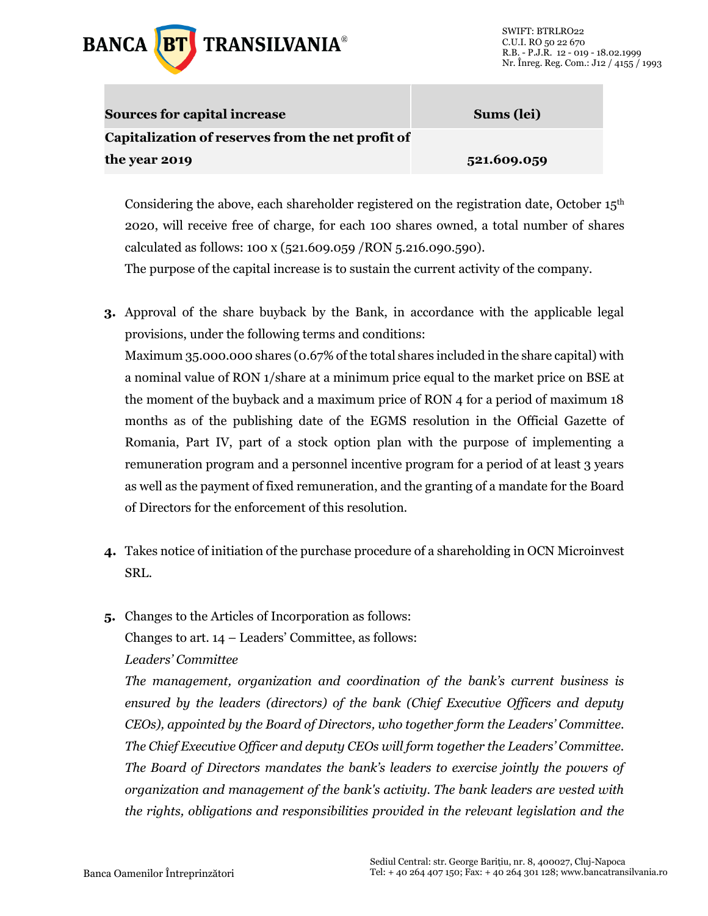

| <b>Sources for capital increase</b>               | Sums (lei)  |  |
|---------------------------------------------------|-------------|--|
| Capitalization of reserves from the net profit of |             |  |
| the year 2019                                     | 521.609.059 |  |

Considering the above, each shareholder registered on the registration date, October  $15<sup>th</sup>$ 2020, will receive free of charge, for each 100 shares owned, a total number of shares calculated as follows: 100 x (521.609.059 /RON 5.216.090.590).

The purpose of the capital increase is to sustain the current activity of the company.

- **3.** Approval of the share buyback by the Bank, in accordance with the applicable legal provisions, under the following terms and conditions: Maximum 35.000.000 shares (0.67% of the total shares included in the share capital) with a nominal value of RON 1/share at a minimum price equal to the market price on BSE at the moment of the buyback and a maximum price of RON 4 for a period of maximum 18 months as of the publishing date of the EGMS resolution in the Official Gazette of Romania, Part IV, part of a stock option plan with the purpose of implementing a remuneration program and a personnel incentive program for a period of at least 3 years as well as the payment of fixed remuneration, and the granting of a mandate for the Board of Directors for the enforcement of this resolution.
- **4.** Takes notice of initiation of the purchase procedure of a shareholding in OCN Microinvest SRL.
- **5.** Changes to the Articles of Incorporation as follows: Changes to art. 14 – Leaders' Committee, as follows: *Leaders' Committee*

*The management, organization and coordination of the bank's current business is ensured by the leaders (directors) of the bank (Chief Executive Officers and deputy CEOs), appointed by the Board of Directors, who together form the Leaders' Committee. The Chief Executive Officer and deputy CEOs will form together the Leaders' Committee. The Board of Directors mandates the bank's leaders to exercise jointly the powers of organization and management of the bank's activity. The bank leaders are vested with the rights, obligations and responsibilities provided in the relevant legislation and the*